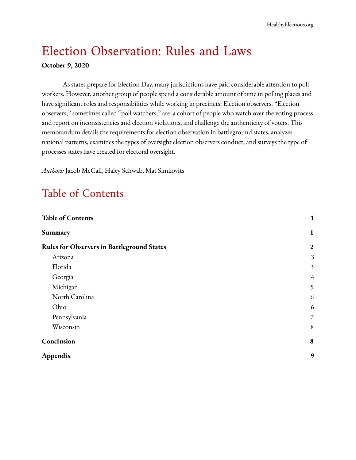# Election Observation: Rules and Laws

#### **October 9, 2020**

As states prepare for Election Day, many jurisdictions have paid considerable attention to poll workers. However, another group of people spend a considerable amount of time in polling places and have significant roles and responsibilities while working in precincts: Election observers. "Election observers," sometimes called "poll watchers," are a cohort of people who watch over the voting process and report on inconsistencies and election violations, and challenge the authenticity of voters. This memorandum details the requirements for election observation in battleground states, analyzes national patterns, examines the types of oversight election observers conduct, and surveys the type of processes states have created for electoral oversight.

*Authors:* Jacob McCall, Haley Schwab, Mat Simkovits

### <span id="page-0-0"></span>Table of Contents

<span id="page-0-1"></span>

| <b>Table of Contents</b>                          |                |
|---------------------------------------------------|----------------|
| Summary                                           | $\mathbf{1}$   |
| <b>Rules for Observers in Battleground States</b> | $\overline{2}$ |
| Arizona                                           | 3              |
| Florida                                           | $\overline{3}$ |
| Georgia                                           | $\overline{4}$ |
| Michigan                                          | 5              |
| North Carolina                                    | 6              |
| Ohio                                              | 6              |
| Pennsylvania                                      | $\overline{7}$ |
| Wisconsin                                         | 8              |
| Conclusion                                        | 8              |
| Appendix                                          | 9              |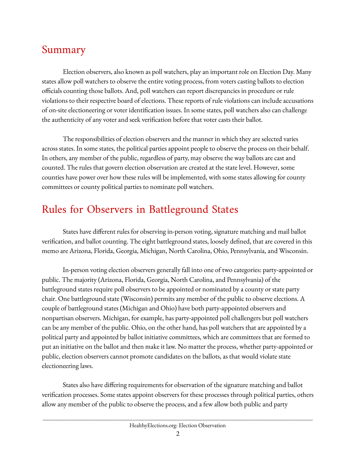### Summary

Election observers, also known as poll watchers, play an important role on Election Day. Many states allow poll watchers to observe the entire voting process, from voters casting ballots to election officials counting those ballots. And, poll watchers can report discrepancies in procedure or rule violations to their respective board of elections. These reports of rule violations can include accusations of on-site electioneering or voter identification issues. In some states, poll watchers also can challenge the authenticity of any voter and seek verification before that voter casts their ballot.

The responsibilities of election observers and the manner in which they are selected varies across states. In some states, the political parties appoint people to observe the process on their behalf. In others, any member of the public, regardless of party, may observe the way ballots are cast and counted. The rules that govern election observation are created at the state level. However, some counties have power over how these rules will be implemented, with some states allowing for county committees or county political parties to nominate poll watchers.

## <span id="page-1-0"></span>Rules for Observers in Battleground States

States have different rules for observing in-person voting, signature matching and mail ballot verification, and ballot counting. The eight battleground states, loosely defined, that are covered in this memo are Arizona, Florida, Georgia, Michigan, North Carolina, Ohio, Pennsylvania, and Wisconsin.

In-person voting election observers generally fall into one of two categories: party-appointed or public. The majority (Arizona, Florida, Georgia, North Carolina, and Pennsylvania) of the battleground states require poll observers to be appointed or nominated by a county or state party chair. One battleground state (Wisconsin) permits any member of the public to observe elections. A couple of battleground states (Michigan and Ohio) have both party-appointed observers and nonpartisan observers. Michigan, for example, has party-appointed poll challengers but poll watchers can be any member of the public. Ohio, on the other hand, has poll watchers that are appointed by a political party and appointed by ballot initiative committees, which are committees that are formed to put an initiative on the ballot and then make it law. No matter the process, whether party-appointed or public, election observers cannot promote candidates on the ballots, as that would violate state electioneering laws.

States also have differing requirements for observation of the signature matching and ballot verification processes. Some states appoint observers for these processes through political parties, others allow any member of the public to observe the process, and a few allow both public and party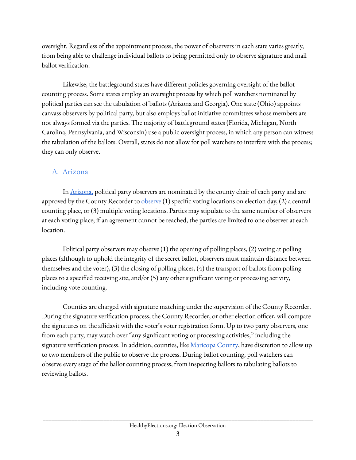oversight. Regardless of the appointment process, the power of observers in each state varies greatly, from being able to challenge individual ballots to being permitted only to observe signature and mail ballot verification.

Likewise, the battleground states have different policies governing oversight of the ballot counting process. Some states employ an oversight process by which poll watchers nominated by political parties can see the tabulation of ballots (Arizona and Georgia). One state (Ohio) appoints canvass observers by political party, but also employs ballot initiative committees whose members are not always formed via the parties. The majority of battleground states (Florida, Michigan, North Carolina, Pennsylvania, and Wisconsin) use a public oversight process, in which any person can witness the tabulation of the ballots. Overall, states do not allow for poll watchers to interfere with the process; they can only observe.

#### <span id="page-2-0"></span>A. Arizona

I[n](https://azsos.gov/sites/default/files/2019_ELECTIONS_PROCEDURES_MANUAL_APPROVED.pdf) [Arizona,](https://azsos.gov/sites/default/files/2019_ELECTIONS_PROCEDURES_MANUAL_APPROVED.pdf) political party observers are nominated by the county chair of each party and are approved by the County Recorder to  $\frac{\text{observe}}{\text{(1)}}$  $\frac{\text{observe}}{\text{(1)}}$  $\frac{\text{observe}}{\text{(1)}}$  specific voting locations on election day, (2) a central counting place, or (3) multiple voting locations. Parties may stipulate to the same number of observers at each voting place; if an agreement cannot be reached, the parties are limited to one observer at each location.

Political party observers may observe (1) the opening of polling places, (2) voting at polling places (although to uphold the integrity of the secret ballot, observers must maintain distance between themselves and the voter), (3) the closing of polling places, (4) the transport of ballots from polling places to a specified receiving site, and/or (5) any other significant voting or processing activity, including vote counting.

Counties are charged with signature matching under the supervision of the County Recorder. During the signature verification process, the County Recorder, or other election officer, will compare the signatures on the affidavit with the voter's voter registration form. Up to two party observers, one from each party, may watch over "any significant voting or processing activities," including the signature verification process. In addition, counties, like [Maricopa](https://recorder.maricopa.gov/elections/petitionreview.aspx) County, have discretion to allow up to two members of the public to observe the process. During ballot counting, poll watchers can observe every stage of the ballot counting process, from inspecting ballots to tabulating ballots to reviewing ballots.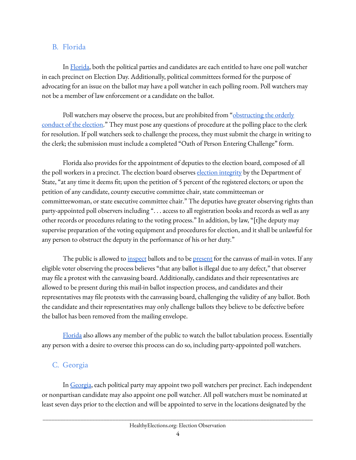#### <span id="page-3-0"></span>B. Florida

In [Florida,](https://dos.myflorida.com/media/703005/adopted-clean-de11_pollplaceprocmanual.pdf) both the political parties and candidates are each entitled to have one poll watcher in each precinct on Election Day. Additionally, political committees formed for the purpose of advocating for an issue on the ballot may have a poll watcher in each polling room. Poll watchers may not be a member of law enforcement or a candidate on the ballot.

Poll watchers may observe the process, but are prohibited from ["obstructing](https://dos.myflorida.com/media/703005/adopted-clean-de11_pollplaceprocmanual.pdf) the orderly [conduct](https://dos.myflorida.com/media/703005/adopted-clean-de11_pollplaceprocmanual.pdf) of the election." They must pose any questions of procedure at the polling place to the clerk for resolution. If poll watchers seek to challenge the process, they must submit the charge in writing to the clerk; the submission must include a completed "Oath of Person Entering Challenge" form.

Florida also provides for the appointment of deputies to the election board, composed of all the poll workers in a precinct. The election board observes election [integrity](https://www.flsenate.gov/laws/statutes/2000/101.58) by the Department of State, "at any time it deems fit; upon the petition of 5 percent of the registered electors; or upon the petition of any candidate, county executive committee chair, state committeeman or committeewoman, or state executive committee chair." The deputies have greater observing rights than party-appointed poll observers including ". . . access to all registration books and records as well as any other records or procedures relating to the voting process." In addition, by law, "[t]he deputy may supervise preparation of the voting equipment and procedures for election, and it shall be unlawful for any person to obstruct the deputy in the performance of his or her duty."

The public is allowed to <u>[inspect](https://www.flsenate.gov/laws/statutes/2015/101.572)</u> ballots and to be <u>[present](https://www.flsenate.gov/Laws/Statutes/2018/0101.6104)</u> for the canvass of mail-in votes. If any eligible voter observing the process believes "that any ballot is illegal due to any defect," that observer may file a protest with the canvassing board. Additionally, candidates and their representatives are allowed to be present during this mail-in ballot inspection process, and candidates and their representatives may file protests with the canvassing board, challenging the validity of any ballot. Both the candidate and their representatives may only challenge ballots they believe to be defective before the ballot has been removed from the mailing envelope.

[Florida](http://www.leg.state.fl.us/statutes/index.cfm?App_mode=Display_Statute&Search_String=&URL=0100-0199/0101/Sections/0101.5614.html) also allows any member of the public to watch the ballot tabulation process. Essentially any person with a desire to oversee this process can do so, including party-appointed poll watchers.

#### <span id="page-3-1"></span>C. Georgia

In [Georgia](https://sos.ga.gov/admin/files/CandidateTrainingGuide.pdf), each political party may appoint two poll watchers per precinct. Each independent or nonpartisan candidate may also appoint one poll watcher. All poll watchers must be nominated at least seven days prior to the election and will be appointed to serve in the locations designated by the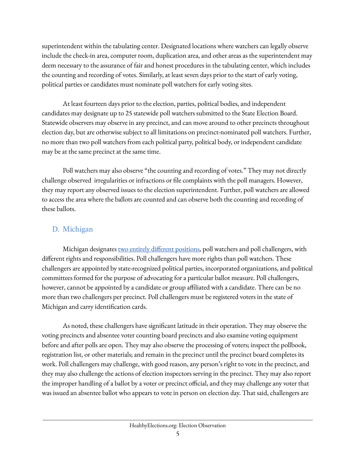superintendent within the tabulating center. Designated locations where watchers can legally observe include the check-in area, computer room, duplication area, and other areas as the superintendent may deem necessary to the assurance of fair and honest procedures in the tabulating center, which includes the counting and recording of votes. Similarly, at least seven days prior to the start of early voting, political parties or candidates must nominate poll watchers for early voting sites.

At least fourteen days prior to the election, parties, political bodies, and independent candidates may designate up to 25 statewide poll watchers submitted to the State Election Board. Statewide observers may observe in any precinct, and can move around to other precincts throughout election day, but are otherwise subject to all limitations on precinct-nominated poll watchers. Further, no more than two poll watchers from each political party, political body, or independent candidate may be at the same precinct at the same time.

Poll watchers may also observe "the counting and recording of votes." They may not directly challenge observed irregularities or infractions or file complaints with the poll managers. However, they may report any observed issues to the election superintendent. Further, poll watchers are allowed to access the area where the ballots are counted and can observe both the counting and recording of these ballots.

#### <span id="page-4-0"></span>D. Michigan

Michigan designates two entirely different [positions,](https://www.michigan.gov/documents/sos/XI_Election_Day_Issues_266009_7.pdf) poll watchers and poll challengers, with different rights and responsibilities. Poll challengers have more rights than poll watchers. These challengers are appointed by state-recognized political parties, incorporated organizations, and political committees formed for the purpose of advocating for a particular ballot measure. Poll challengers, however, cannot be appointed by a candidate or group affiliated with a candidate. There can be no more than two challengers per precinct. Poll challengers must be registered voters in the state of Michigan and carry identification cards.

As noted, these challengers have significant latitude in their operation. They may observe the voting precincts and absentee voter counting board precincts and also examine voting equipment before and after polls are open. They may also observe the processing of voters; inspect the pollbook, registration list, or other materials; and remain in the precinct until the precinct board completes its work. Poll challengers may challenge, with good reason, any person's right to vote in the precinct, and they may also challenge the actions of election inspectors serving in the precinct. They may also report the improper handling of a ballot by a voter or precinct official, and they may challenge any voter that was issued an absentee ballot who appears to vote in person on election day. That said, challengers are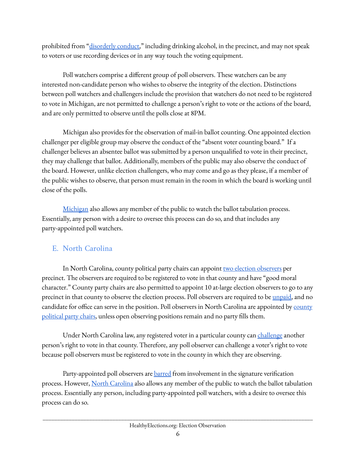prohibited from "[disorderly](http://www.legislature.mi.gov/(S(qzpwvf1lj3jof21dxpuney54))/mileg.aspx?page=getObject&objectName=mcl-168-733) conduct," including drinking alcohol, in the precinct, and may not speak to voters or use recording devices or in any way touch the voting equipment.

Poll watchers comprise a different group of poll observers. These watchers can be any interested non-candidate person who wishes to observe the integrity of the election. Distinctions between poll watchers and challengers include the provision that watchers do not need to be registered to vote in Michigan, are not permitted to challenge a person's right to vote or the actions of the board, and are only permitted to observe until the polls close at 8PM.

Michigan also provides for the observation of mail-in ballot counting. One appointed election challenger per eligible group may observe the conduct of the "absent voter counting board." If a challenger believes an absentee ballot was submitted by a person unqualified to vote in their precinct, they may challenge that ballot. Additionally, members of the public may also observe the conduct of the board. However, unlike election challengers, who may come and go as they please, if a member of the public wishes to observe, that person must remain in the room in which the board is working until close of the polls.

[Michigan](https://legislature.mi.gov/(S(lhkuxysq51xmr0urctcgg2mu))/mileg.aspx?page=getObject&objectName=mcl-168-801&highlight=Michigan%20AND%20State%20AND%20University) also allows any member of the public to watch the ballot tabulation process. Essentially, any person with a desire to oversee this process can do so, and that includes any party-appointed poll watchers.

#### <span id="page-5-0"></span>E. North Carolina

In Nor[t](https://www.nass.org/sites/default/files/surveys/2020-01/state-laws-poll-watchers-challengers-Jan2020.pdf)h Carolina, county political party chairs can appoint two election [observers](https://www.nass.org/sites/default/files/surveys/2020-01/state-laws-poll-watchers-challengers-Jan2020.pdf) per precinct. The observers are required to be registered to vote in that county and have "good moral character." County party chairs are also permitted to appoint 10 at-large election observers to go to any pr[e](https://law.justia.com/codes/north-carolina/2016/chapter-163/article-5/section-163-46/)cinct in that county to observe the election process. Poll observers are required to be *[unpaid](https://law.justia.com/codes/north-carolina/2016/chapter-163/article-5/section-163-46/)*, and no candidate for office can serve in the position. Poll observers in North Carolina are appointed by [county](https://www.ncsl.org/research/elections-and-campaigns/policies-for-election-observers.aspx) [political](https://www.ncsl.org/research/elections-and-campaigns/policies-for-election-observers.aspx) party chairs, unless open observing positions remain and no party fills them.

Under North Carolina law, any registered voter in a particular county can [challenge](https://www.nass.org/sites/default/files/surveys/2020-01/state-laws-poll-watchers-challengers-Jan2020.pdf) another person's right to vote in that county. Therefore, any poll observer can challenge a voter's right to vote because poll observers must be registered to vote in the county in which they are observing.

Party-appointed poll observers are **[barred](https://www.cartercenter.org/resources/pdfs/peace/democracy/cc-us-election-observation.pdf)** from involvement in the signature verification process. However, North [Carolina](https://law.justia.com/codes/north-carolina/2015/chapter-163/article-15a/section-163-182.2/) also allows any member of the public to watch the ballot tabulation process. Essentially any person, including party-appointed poll watchers, with a desire to oversee this process can do so.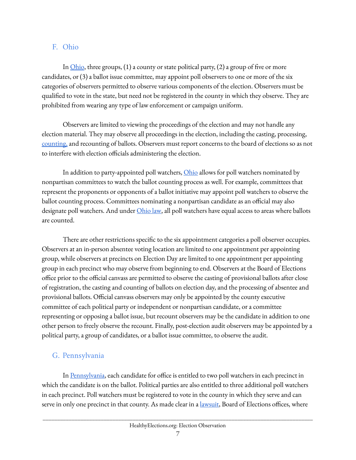#### <span id="page-6-0"></span>F. Ohio

In  $Ohio$ , three groups, (1) a county or state political party, (2) a group of five or more candidates, or (3) a ballot issue committee, may appoint poll observers to one or more of the six categories of observers permitted to observe various components of the election. Observers must be qualified to vote in the state, but need not be registered in the county in which they observe. They are prohibited from wearing any type of law enforcement or campaign uniform.

Observers are limited to viewing the proceedings of the election and may not handle any election material. They may observe all proceedings in the election, including the casting, processing, [counting,](https://www.ohiosos.gov/globalassets/elections/directives/2019/dir2019-11_eom.pdf) and recounting of ballots. Observers must report concerns to the board of elections so as not to interfere with election officials administering the election.

In addition to party-appointed poll watchers, [Ohio](https://www.ohiosos.gov/globalassets/elections/directives/2019/dir2019-11_eom.pdf) allows for poll watchers nominated by nonpartisan committees to watch the ballot counting process as well. For example, committees that represent the proponents or opponents of a ballot initiative may appoint poll watchers to observe the ballot counting process. Committees nominating a nonpartisan candidate as an official may also designate poll watchers. And under *[Ohio](https://codes.ohio.gov/orc/3505.21#:~:text=(C)%20Any%20political%20party%20or,at%20the%20board%20of%20elections.) law*, all poll watchers have equal access to areas where ballots are counted.

There are other restrictions specific to the six appointment categories a poll observer occupies. Observers at an in-person absentee voting location are limited to one appointment per appointing group, while observers at precincts on Election Day are limited to one appointment per appointing group in each precinct who may observe from beginning to end. Observers at the Board of Elections office prior to the official canvass are permitted to observe the casting of provisional ballots after close of registration, the casting and counting of ballots on election day, and the processing of absentee and provisional ballots. Official canvass observers may only be appointed by the county executive committee of each political party or independent or nonpartisan candidate, or a committee representing or opposing a ballot issue, but recount observers may be the candidate in addition to one other person to freely observe the recount. Finally, post-election audit observers may be appointed by a political party, a group of candidates, or a ballot issue committee, to observe the audit.

#### <span id="page-6-1"></span>G. Pennsylvania

I[n](https://codes.findlaw.com/pa/title-25-ps-elections-electoral-districts/pa-st-sect-25-2687.html) [Pennsylvania,](https://codes.findlaw.com/pa/title-25-ps-elections-electoral-districts/pa-st-sect-25-2687.html) each candidate for office is entitled to two poll watchers in each precinct in which the candidate is on the ballot. Political parties are also entitled to three additional poll watchers in each precinct. Poll watchers must be registered to vote in the county in which they serve and can serve in only one precinct in that county. As made clear in a *[lawsuit](https://www.inquirer.com/politics/election/trump-campaign-philadelphia-lawsuit-ruling-20201009.html)*, Board of Elections offices, where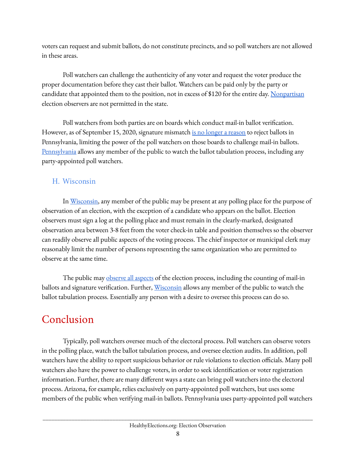voters can request and submit ballots, do not constitute precincts, and so poll watchers are not allowed in these areas.

Poll watchers can challenge the authenticity of any voter and request the voter produce the proper documentation before they cast their ballot. Watchers can be paid only by the party or candidate that appointed them to the position, not in excess of \$120 for the entire day. [Nonpartisan](https://seventy.org/tools/election-program/election-protection) election observers are not permitted in the state.

Poll watchers from both parties are on boards which conduct mail-in ballot verification. However, as of September 15, 2020, signature mismatch <u>is no longer a [reason](https://www.thenewstribune.com/news/business/article245745045.html)</u> to reject ballots in Pennsylvania, limiting the power of the poll watchers on those boards to challenge mail-in ballots. [Pennsylvania](https://www.dos.pa.gov/VotingElections/Documents/Elections%20Division/Administration/Rights%20of%20Watchers%20Candidates%20Attorneys.pdf) allows any member of the public to watch the ballot tabulation process, including any party-appointed poll watchers.

#### <span id="page-7-0"></span>H. Wisconsin

I[n](https://www.eac.gov/sites/default/files/eac_assets/1/28/state-laws-poll-watchers-challengers-0816.pdf) [Wisconsin,](https://www.eac.gov/sites/default/files/eac_assets/1/28/state-laws-poll-watchers-challengers-0816.pdf) any member of the public may be present at any polling place for the purpose of observation of an election, with the exception of a candidate who appears on the ballot. Election observers must sign a log at the polling place and must remain in the clearly-marked, designated observation area between 3-8 feet from the voter check-in table and position themselves so the observer can readily observe all public aspects of the voting process. The chief inspector or municipal clerk may reasonably limit the number of persons representing the same organization who are permitted to observe at the same time.

The public may [observe](https://www.cartercenter.org/resources/pdfs/peace/democracy/cc-us-election-observation.pdf) all aspects of the election process, including the counting of mail-in ballots and signature verification. Further, [Wisconsin](https://elections.wi.gov/sites/elections.wi.gov/files/2019-02/Counting_spring%20pri_gen%20elections%20%28Rev.%202018-02%29.pdf) allows any member of the public to watch the ballot tabulation process. Essentially any person with a desire to oversee this process can do so.

## <span id="page-7-1"></span>Conclusion

Typically, poll watchers oversee much of the electoral process. Poll watchers can observe voters in the polling place, watch the ballot tabulation process, and oversee election audits. In addition, poll watchers have the ability to report suspicious behavior or rule violations to election officials. Many poll watchers also have the power to challenge voters, in order to seek identification or voter registration information. Further, there are many different ways a state can bring poll watchers into the electoral process. Arizona, for example, relies exclusively on party-appointed poll watchers, but uses some members of the public when verifying mail-in ballots. Pennsylvania uses party-appointed poll watchers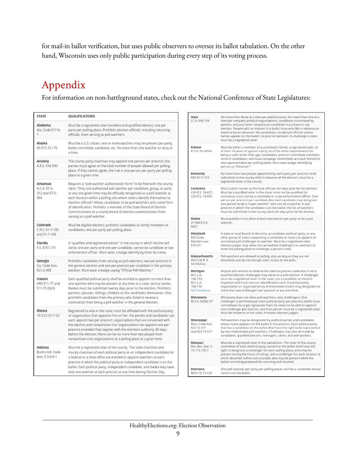for mail-in ballot verification, but uses public observers to oversee its ballot tabulation. On the other hand, Wisconsin uses only public participation during every step of its voting process.

## <span id="page-8-0"></span>Appendix

For information on non-battleground states, check out the National Conference of State Legislatures:

| <b>STATE</b>                                     | QUALIFICATIONS                                                                                                                                                                                                                                                                                                                                                                                                                                                                                                                                                |
|--------------------------------------------------|---------------------------------------------------------------------------------------------------------------------------------------------------------------------------------------------------------------------------------------------------------------------------------------------------------------------------------------------------------------------------------------------------------------------------------------------------------------------------------------------------------------------------------------------------------------|
| Alabama<br>Ala. Code §17-8-<br>7                 | Must be a registered voter (resident and qualified elector), one per<br>party per polling place. Prohibits election officials, including returning<br>officials, from serving as poll watchers.                                                                                                                                                                                                                                                                                                                                                               |
| Alaska<br>AS §15.10.170                          | Must be a U.S. citizen; one or more watchers may be present per party,<br>ballot committee, candidate, etc. No more than one watcher on duty at<br>a time.                                                                                                                                                                                                                                                                                                                                                                                                    |
| Arizona<br>A.R.S. §16-590                        | The county party chairman may appoint one person per precinct; the<br>parties must agree on the total number of people allowed per polling<br>place. If they cannot agree, the rule is one person per party per polling<br>place at a given time.                                                                                                                                                                                                                                                                                                             |
| Arkansas<br>A.C.A. §7-5-<br>312 and §7-5-<br>904 | Requires a "poll watcher authorization form" to be filed with the county<br>clerk; "Only one authorized poll watcher per candidate, group, or party<br>at any one given time may be officially recognized as a poll watcher at<br>each location within a polling site where voters identify themselves to<br>election officials" Allows candidates to be poll watchers with some form<br>of identification. Prohibits a member of the State Board of Election<br>Commissioners or a county board of election commissioners from<br>serving as a poll watcher. |
| Colorado<br>C.R.S. §1-7-106<br>and §1-7-108      | Must be eligible electors; prohibits candidates or family members of<br>candidates; one per party per polling place.                                                                                                                                                                                                                                                                                                                                                                                                                                          |
| Florida<br>F.S. §101.131                         | A "qualified and registered elector" in the county in which he/she will<br>serve; one per party and one per candidate, cannot be candidate or law<br>enforcement officer. Must wear a badge identifying them by name.                                                                                                                                                                                                                                                                                                                                         |
| Georgia<br>Ga. Code Ann.<br>\$21-2-408           | Prohibits candidates from serving as poll watchers; two per precinct in<br>the general election and one per precinct per candidate in the primary<br>election. Must wear a badge saying "Official Poll Watcher."                                                                                                                                                                                                                                                                                                                                              |
| Hawaii<br>HRS §11-77 and<br>$$11-72(b)(3)$       | Each qualified political party shall be entitled to appoint no more than<br>one watcher who may be present at any time at a voter service center.<br>Names must be submitted twenty days prior to the election. Prohibits<br>parents, spouses, siblings, children or the candidates themselves. Also<br>prohibits candidates from the primary who failed to receive a<br>nomination from being a poll watcher in the general election.                                                                                                                        |
| Illinois<br>10 ILCS 5/17-23                      | Registered to vote in the state; must be affiliated with the political party<br>or organization that appoints him or her; the parties and candidates can<br>each appoint two per precinct; organizations that are concerned with<br>the election and nonpartisan civic organizations can appoint one per<br>precinct provided they register with the elections authority 40 days<br>before the election; there can be no more than two people from<br>nonpartisan civic organizations at a polling place at a given time.                                     |
| Indiana<br>Burns Ind. Code<br>Ann. § 3-6-8-1     | Must be a registered voter of the county. The state chairman and<br>county chairman of each political party or an independent candidate for<br>a federal or a state office are entitled to appoint watchers at each<br>precinct in which the political party or independent candidate is on the<br>ballot. Each political party, independent candidate, and media may have<br>only one watcher at each precinct at any time during Election Day.                                                                                                              |

| lowa<br>LC.A. §49.104                                                   | No more than three at a time per political party. No more than one at a<br>time per nonparty political organizations, candidates nominated by<br>petition, and any other nonpartisan candidate in a school or city<br>election. People with an interest in a ballot issue who file in advance an<br>intent to be an observer. No candidates; no elected officials whose<br>names appear on the ballot; no precinct workers; to challenge a voter,<br>must be a registered voter.                                   |
|-------------------------------------------------------------------------|--------------------------------------------------------------------------------------------------------------------------------------------------------------------------------------------------------------------------------------------------------------------------------------------------------------------------------------------------------------------------------------------------------------------------------------------------------------------------------------------------------------------|
| Kansas<br>K.S.A. 25-3005a                                               | Must be either a member of a candidate's family, a registered voter, or<br>at least 14 years of age but satisfy all of the other requirements for<br>being a voter other than age; candidates, precinct committee members,<br>write-in candidates, and issue campaign committees are each limited to<br>one representative per polling place. Must wear badge identifying<br>person as "Observer."                                                                                                                 |
| Kentucky<br>KRS §117.315                                                | No more than two people appointed by each party per precinct to be<br>submitted to the county clerk in advance of the election; must be a<br>registered voter in the county.                                                                                                                                                                                                                                                                                                                                       |
| Louislana<br>LSA-R.S. 18:427;<br>LSA-R.S. 18:435                        | Must submit names to the local officials ten days prior to the election;<br>Must be a qualified voter in the state; must not be qualified for<br>assistance; must not be a candidate or a law enforcement officer. One<br>person per precinct per candidate, but each candidate may designate<br>one person to be a "super watcher" who can be a watcher in any<br>precinct in which the candidate is on the ballot; the list of watchers<br>must be submitted to the county clerk ten days prior to the election. |
| Maine<br>21-AM.R.S.A.<br>5627                                           | Municipalities must allow at least one person per party to be a poll<br>watcher.                                                                                                                                                                                                                                                                                                                                                                                                                                   |
| Maryland<br>MD Code,<br>Election Law,<br>510-311                        | A state or local board of elections, a candidate, political party, or any<br>other group of voters supporting a candidate or issue can appoint an<br>accredited poll challenger or watcher. Must be a registered voter.<br>Election judges may allow non-accredited challengers or watchers to<br>enter the polling place to challenge a person's vote.                                                                                                                                                            |
| Massachusetts<br>950 C.M.R. §<br>54.04(22a)                             | Poll watchers are allowed at polling sites as long as they are not<br>disorderly and do not disrupt voter access to the polls.                                                                                                                                                                                                                                                                                                                                                                                     |
| Michigan<br>M.C.L.A.<br>168.733;<br>M.C.L.A.<br>168.730<br>SOS Guidance | Anyone who wishes to observe the election process (and who is not a<br>qualified election challenger) may serve as a poll watcher. A challenger<br>must be a registered voter in the state, not a candidate or election<br>inspector and must carry an identification card. A political party,<br>organization or organized entity of interested citizens may designate no<br>more than two challengers per precinct at any one time.                                                                              |
| Minnesota<br>M.S.A. §204C.07                                            | Minnesota does not allow poll watchers, only challengers. One<br>challenger is permitted per each political party per precinct; ballot issue<br>committees must get signatures from 25 voters to be able to appoint<br>one challenger per precinct, and that person must be a registered voter.<br>Must be residents of the state. Prohibits election judges.                                                                                                                                                      |
| Mississippi<br>Miss. Code Ann.<br>§23-15-571<br>and §23-15-577          | Poll watchers may be designated by political parties and candidates<br>whose name appears on the ballot in the precinct. Each political party<br>that has a candidate on the ballot shall have the right to be represented<br>by two credentialed poll watchers. Challenges may also be made by<br>candidates, qualified electors, managers, clerks, and poll workers.                                                                                                                                             |
| Missouri<br>Mo. Rev. Stat. §<br>15-115.105.1                            | Must be a registered voter in the jurisdiction. The chair of the county<br>committee of each political party named on the ballot shall have the<br>right to designate a challenger for each polling place, who may be<br>present during the hours of voting, and a challenger for each location at<br>which absentee ballots are counted, who may be present while the<br>ballots are being prepared for counting and counted.                                                                                     |
| Montana<br>MCA 13-13-120                                                | One poll watcher per party per polling place; can't be a candidate whose<br>name is on the ballot.                                                                                                                                                                                                                                                                                                                                                                                                                 |